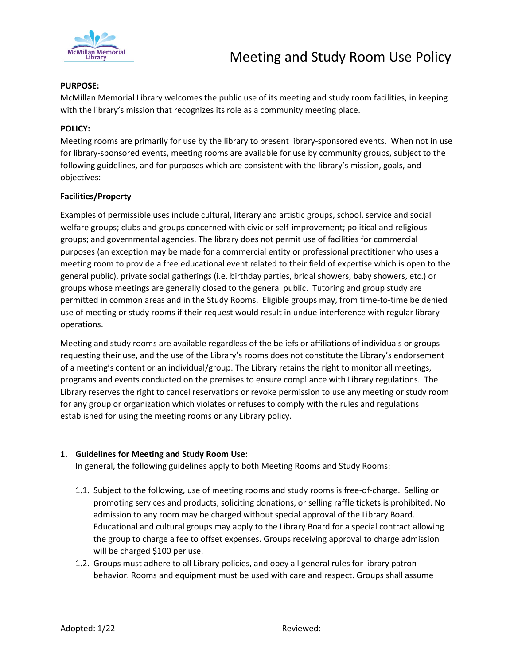

### **PURPOSE:**

McMillan Memorial Library welcomes the public use of its meeting and study room facilities, in keeping with the library's mission that recognizes its role as a community meeting place.

# **POLICY:**

Meeting rooms are primarily for use by the library to present library-sponsored events. When not in use for library-sponsored events, meeting rooms are available for use by community groups, subject to the following guidelines, and for purposes which are consistent with the library's mission, goals, and objectives:

### **Facilities/Property**

Examples of permissible uses include cultural, literary and artistic groups, school, service and social welfare groups; clubs and groups concerned with civic or self-improvement; political and religious groups; and governmental agencies. The library does not permit use of facilities for commercial purposes (an exception may be made for a commercial entity or professional practitioner who uses a meeting room to provide a free educational event related to their field of expertise which is open to the general public), private social gatherings (i.e. birthday parties, bridal showers, baby showers, etc.) or groups whose meetings are generally closed to the general public. Tutoring and group study are permitted in common areas and in the Study Rooms. Eligible groups may, from time-to-time be denied use of meeting or study rooms if their request would result in undue interference with regular library operations.

Meeting and study rooms are available regardless of the beliefs or affiliations of individuals or groups requesting their use, and the use of the Library's rooms does not constitute the Library's endorsement of a meeting's content or an individual/group. The Library retains the right to monitor all meetings, programs and events conducted on the premises to ensure compliance with Library regulations. The Library reserves the right to cancel reservations or revoke permission to use any meeting or study room for any group or organization which violates or refuses to comply with the rules and regulations established for using the meeting rooms or any Library policy.

# **1. Guidelines for Meeting and Study Room Use:**

In general, the following guidelines apply to both Meeting Rooms and Study Rooms:

- 1.1. Subject to the following, use of meeting rooms and study rooms is free-of-charge. Selling or promoting services and products, soliciting donations, or selling raffle tickets is prohibited. No admission to any room may be charged without special approval of the Library Board. Educational and cultural groups may apply to the Library Board for a special contract allowing the group to charge a fee to offset expenses. Groups receiving approval to charge admission will be charged \$100 per use.
- 1.2. Groups must adhere to all Library policies, and obey all general rules for library patron behavior. Rooms and equipment must be used with care and respect. Groups shall assume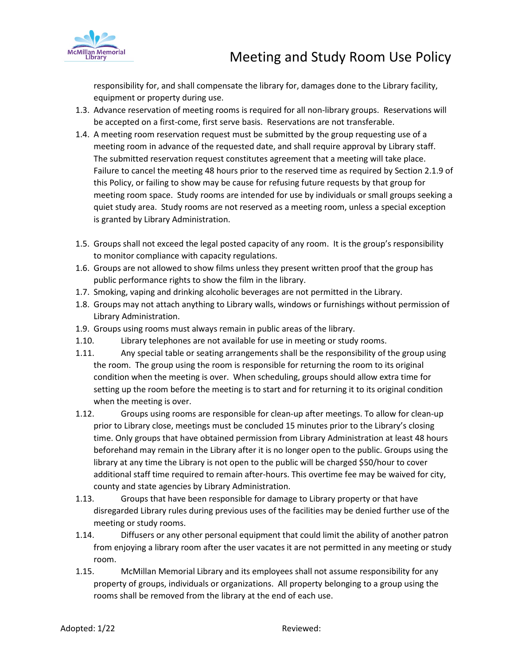

responsibility for, and shall compensate the library for, damages done to the Library facility, equipment or property during use.

- 1.3. Advance reservation of meeting rooms is required for all non-library groups. Reservations will be accepted on a first-come, first serve basis. Reservations are not transferable.
- 1.4. A meeting room reservation request must be submitted by the group requesting use of a meeting room in advance of the requested date, and shall require approval by Library staff. The submitted reservation request constitutes agreement that a meeting will take place. Failure to cancel the meeting 48 hours prior to the reserved time as required by Section 2.1.9 of this Policy, or failing to show may be cause for refusing future requests by that group for meeting room space. Study rooms are intended for use by individuals or small groups seeking a quiet study area. Study rooms are not reserved as a meeting room, unless a special exception is granted by Library Administration.
- 1.5. Groups shall not exceed the legal posted capacity of any room. It is the group's responsibility to monitor compliance with capacity regulations.
- 1.6. Groups are not allowed to show films unless they present written proof that the group has public performance rights to show the film in the library.
- 1.7. Smoking, vaping and drinking alcoholic beverages are not permitted in the Library.
- 1.8. Groups may not attach anything to Library walls, windows or furnishings without permission of Library Administration.
- 1.9. Groups using rooms must always remain in public areas of the library.
- 1.10. Library telephones are not available for use in meeting or study rooms.
- 1.11. Any special table or seating arrangements shall be the responsibility of the group using the room. The group using the room is responsible for returning the room to its original condition when the meeting is over. When scheduling, groups should allow extra time for setting up the room before the meeting is to start and for returning it to its original condition when the meeting is over.
- 1.12. Groups using rooms are responsible for clean-up after meetings. To allow for clean-up prior to Library close, meetings must be concluded 15 minutes prior to the Library's closing time. Only groups that have obtained permission from Library Administration at least 48 hours beforehand may remain in the Library after it is no longer open to the public. Groups using the library at any time the Library is not open to the public will be charged \$50/hour to cover additional staff time required to remain after-hours. This overtime fee may be waived for city, county and state agencies by Library Administration.
- 1.13. Groups that have been responsible for damage to Library property or that have disregarded Library rules during previous uses of the facilities may be denied further use of the meeting or study rooms.
- 1.14. Diffusers or any other personal equipment that could limit the ability of another patron from enjoying a library room after the user vacates it are not permitted in any meeting or study room.
- 1.15. McMillan Memorial Library and its employees shall not assume responsibility for any property of groups, individuals or organizations. All property belonging to a group using the rooms shall be removed from the library at the end of each use.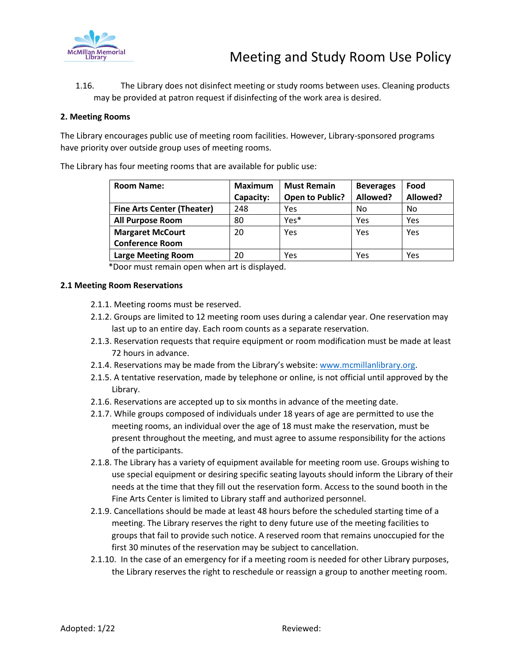

1.16. The Library does not disinfect meeting or study rooms between uses. Cleaning products may be provided at patron request if disinfecting of the work area is desired.

## **2. Meeting Rooms**

The Library encourages public use of meeting room facilities. However, Library-sponsored programs have priority over outside group uses of meeting rooms.

The Library has four meeting rooms that are available for public use:

| <b>Room Name:</b>                 | <b>Maximum</b><br>Capacity: | <b>Must Remain</b><br><b>Open to Public?</b> | <b>Beverages</b><br>Allowed? | Food<br>Allowed? |
|-----------------------------------|-----------------------------|----------------------------------------------|------------------------------|------------------|
| <b>Fine Arts Center (Theater)</b> | 248                         | Yes                                          | No                           | No               |
| <b>All Purpose Room</b>           | 80                          | Yes*                                         | Yes                          | Yes              |
| <b>Margaret McCourt</b>           | 20                          | Yes                                          | Yes                          | Yes              |
| <b>Conference Room</b>            |                             |                                              |                              |                  |
| <b>Large Meeting Room</b>         | 20                          | Yes                                          | Yes                          | Yes              |

\*Door must remain open when art is displayed.

#### **2.1 Meeting Room Reservations**

- 2.1.1. Meeting rooms must be reserved.
- 2.1.2. Groups are limited to 12 meeting room uses during a calendar year. One reservation may last up to an entire day. Each room counts as a separate reservation.
- 2.1.3. Reservation requests that require equipment or room modification must be made at least 72 hours in advance.
- 2.1.4. Reservations may be made from the Library's website: [www.mcmillanlibrary.org.](http://www.mcmillanlibrary.org/)
- 2.1.5. A tentative reservation, made by telephone or online, is not official until approved by the Library.
- 2.1.6. Reservations are accepted up to six months in advance of the meeting date.
- 2.1.7. While groups composed of individuals under 18 years of age are permitted to use the meeting rooms, an individual over the age of 18 must make the reservation, must be present throughout the meeting, and must agree to assume responsibility for the actions of the participants.
- 2.1.8. The Library has a variety of equipment available for meeting room use. Groups wishing to use special equipment or desiring specific seating layouts should inform the Library of their needs at the time that they fill out the reservation form. Access to the sound booth in the Fine Arts Center is limited to Library staff and authorized personnel.
- 2.1.9. Cancellations should be made at least 48 hours before the scheduled starting time of a meeting. The Library reserves the right to deny future use of the meeting facilities to groups that fail to provide such notice. A reserved room that remains unoccupied for the first 30 minutes of the reservation may be subject to cancellation.
- 2.1.10. In the case of an emergency for if a meeting room is needed for other Library purposes, the Library reserves the right to reschedule or reassign a group to another meeting room.